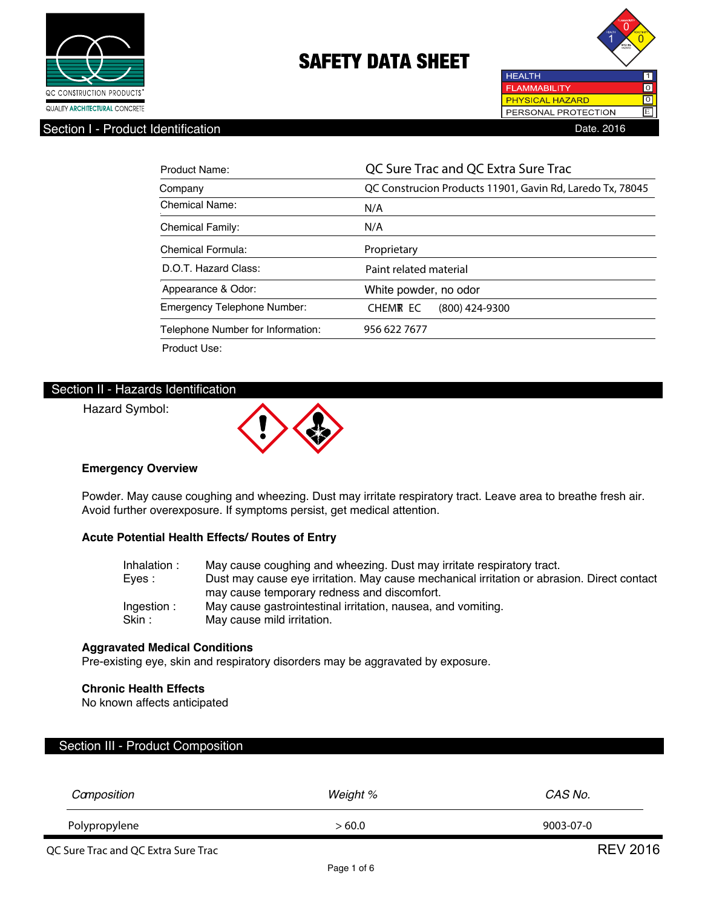



Section I - Product Identification Date Date Product Identification Date Date Product Identification

| Product Name:                     | QC Sure Trac and QC Extra Sure Trac                       |  |  |
|-----------------------------------|-----------------------------------------------------------|--|--|
| Company                           | QC Construcion Products 11901, Gavin Rd, Laredo Tx, 78045 |  |  |
| Chemical Name:                    | N/A                                                       |  |  |
| <b>Chemical Family:</b>           | N/A                                                       |  |  |
| Chemical Formula:                 | Proprietary                                               |  |  |
| D.O.T. Hazard Class:              | Paint related material                                    |  |  |
| Appearance & Odor:                | White powder, no odor                                     |  |  |
| Emergency Telephone Number:       | <b>CHEMR EC</b><br>$(800)$ 424-9300                       |  |  |
| Telephone Number for Information: | 956 622 7677                                              |  |  |
| Product Use:                      |                                                           |  |  |

### Section II - Hazards Identification

Hazard Symbol:



### **Emergency Overview**

Powder. May cause coughing and wheezing. Dust may irritate respiratory tract. Leave area to breathe fresh air. Avoid further overexposure. If symptoms persist, get medical attention.

### **Acute Potential Health Effects/ Routes of Entry**

| Inhalation: | May cause coughing and wheezing. Dust may irritate respiratory tract.                      |
|-------------|--------------------------------------------------------------------------------------------|
| Eves :      | Dust may cause eye irritation. May cause mechanical irritation or abrasion. Direct contact |
|             | may cause temporary redness and discomfort.                                                |
| Ingestion:  | May cause gastrointestinal irritation, nausea, and vomiting.                               |
| Skin :      | May cause mild irritation.                                                                 |

#### **Aggravated Medical Conditions**

Pre-existing eye, skin and respiratory disorders may be aggravated by exposure.

### **Chronic Health Effects**

No known affects anticipated

## Section III - Product Composition

| Camposition                         | Weight % | CAS No.         |
|-------------------------------------|----------|-----------------|
| Polypropylene                       | >60.0    | 9003-07-0       |
| QC Sure Trac and QC Extra Sure Trac |          | <b>REV 2016</b> |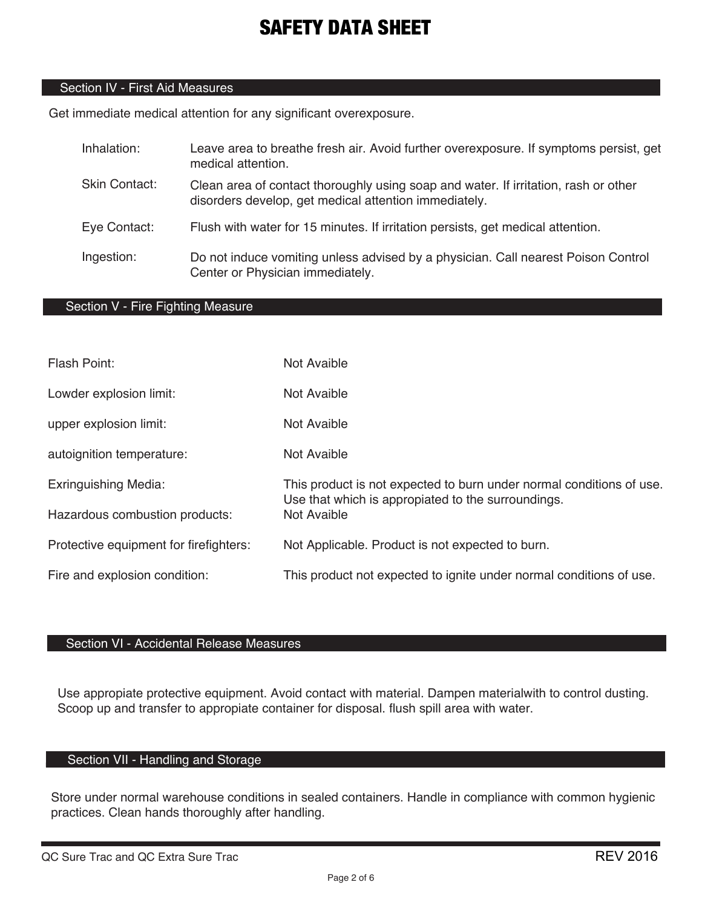## Section IV - First Aid Measures

Get immediate medical attention for any significant overexposure.

| Inhalation:          | Leave area to breathe fresh air. Avoid further overexposure. If symptoms persist, get<br>medical attention.                                  |
|----------------------|----------------------------------------------------------------------------------------------------------------------------------------------|
| <b>Skin Contact:</b> | Clean area of contact thoroughly using soap and water. If irritation, rash or other<br>disorders develop, get medical attention immediately. |
| Eye Contact:         | Flush with water for 15 minutes. If irritation persists, get medical attention.                                                              |
| Ingestion:           | Do not induce vomiting unless advised by a physician. Call nearest Poison Control<br>Center or Physician immediately.                        |

## Section V - Fire Fighting Measure

| Flash Point:                           | Not Avaible                                                                                                                |
|----------------------------------------|----------------------------------------------------------------------------------------------------------------------------|
| Lowder explosion limit:                | Not Avaible                                                                                                                |
| upper explosion limit:                 | Not Avaible                                                                                                                |
| autoignition temperature:              | Not Avaible                                                                                                                |
| <b>Exringuishing Media:</b>            | This product is not expected to burn under normal conditions of use.<br>Use that which is appropiated to the surroundings. |
| Hazardous combustion products:         | <b>Not Avaible</b>                                                                                                         |
| Protective equipment for firefighters: | Not Applicable. Product is not expected to burn.                                                                           |
| Fire and explosion condition:          | This product not expected to ignite under normal conditions of use.                                                        |

## Section VI - Accidental Release Measures

Use appropiate protective equipment. Avoid contact with material. Dampen materialwith to control dusting. Scoop up and transfer to appropiate container for disposal. flush spill area with water.

# Section VII - Handling and Storage

Store under normal warehouse conditions in sealed containers. Handle in compliance with common hygienic practices. Clean hands thoroughly after handling.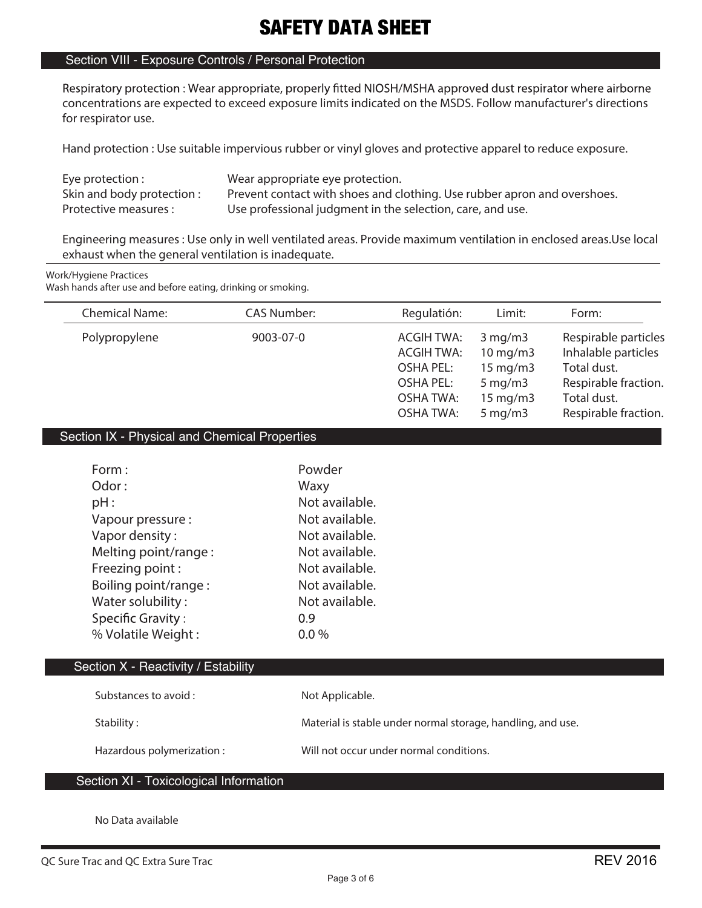## Section VIII - Exposure Controls / Personal Protection

Respiratory protection: Wear appropriate, properly fitted NIOSH/MSHA approved dust respirator where airborne **concentrations are expected to exceed exposure limits indicated on the MSDS. Follow manufacturer's directions for respirator use.**

**Hand protection : Use suitable impervious rubber or vinyl gloves and protective apparel to reduce exposure.**

| Eye protection :           | Wear appropriate eye protection.                                         |
|----------------------------|--------------------------------------------------------------------------|
| Skin and body protection : | Prevent contact with shoes and clothing. Use rubber apron and overshoes. |
| Protective measures :      | Use professional judgment in the selection, care, and use.               |

**Engineering measures : Use only in well ventilated areas. Provide maximum ventilation in enclosed areas.Use local exhaust when the general ventilation is inadequate.**

#### **Work/Hygiene Practices**

**Wash hands after use and before eating, drinking or smoking.**

| <b>Chemical Name:</b> | <b>CAS Number:</b> | Regulatión:                                                                                                     | Limit:                                                                                                                           | Form:                                                                                                                     |
|-----------------------|--------------------|-----------------------------------------------------------------------------------------------------------------|----------------------------------------------------------------------------------------------------------------------------------|---------------------------------------------------------------------------------------------------------------------------|
| Polypropylene         | 9003-07-0          | <b>ACGIH TWA:</b><br><b>ACGIH TWA:</b><br><b>OSHA PEL:</b><br>OSHA PEL:<br><b>OSHA TWA:</b><br><b>OSHA TWA:</b> | $3 \,\mathrm{mg/m}$<br>$10 \text{ mg/m}$<br>$15 \text{ mg/m}$<br>$5 \,\mathrm{mg/m}$<br>$15 \text{ mg/m}$<br>$5 \,\mathrm{mg/m}$ | Respirable particles<br>Inhalable particles<br>Total dust.<br>Respirable fraction.<br>Total dust.<br>Respirable fraction. |
|                       |                    |                                                                                                                 |                                                                                                                                  |                                                                                                                           |

### Section IX - Physical and Chemical Properties

| Form:                    | Powder         |
|--------------------------|----------------|
| Odor:                    | Waxy           |
| pH:                      | Not available. |
| Vapour pressure :        | Not available. |
| Vapor density:           | Not available. |
| Melting point/range:     | Not available. |
| Freezing point:          | Not available. |
| Boiling point/range:     | Not available. |
| Water solubility:        | Not available. |
| <b>Specific Gravity:</b> | 0.9            |
| % Volatile Weight:       | $0.0\%$        |

### Section X - Reactivity / Estability

| Substances to avoid :     | Not Applicable.                                             |
|---------------------------|-------------------------------------------------------------|
| Stability:                | Material is stable under normal storage, handling, and use. |
| Hazardous polymerization: | Will not occur under normal conditions.                     |

## Section XI - Toxicological Information

**No Data available**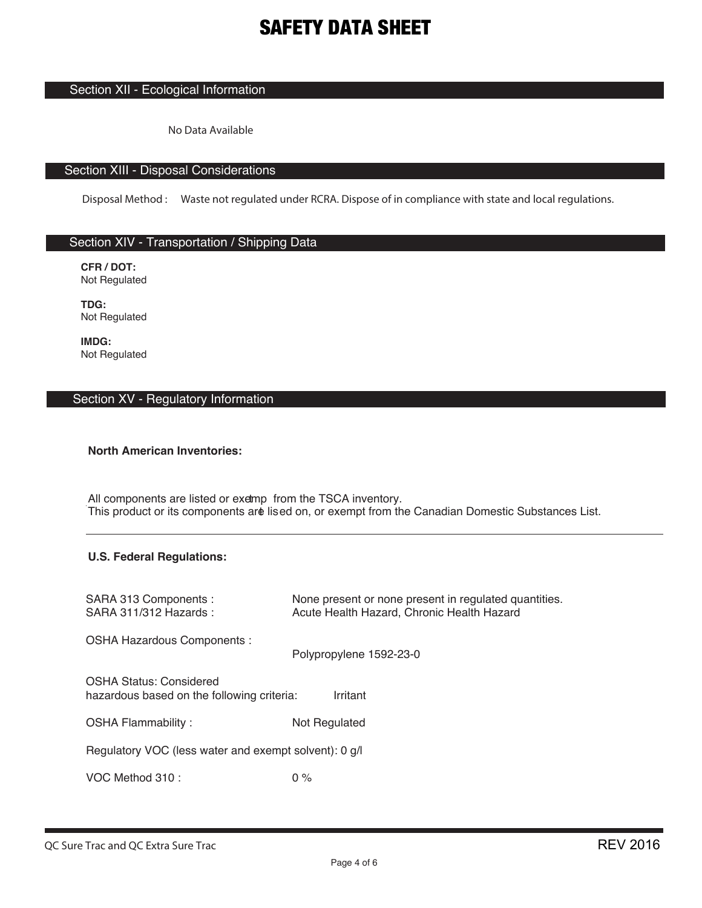## Section XII - Ecological Information

No Data Available

## Section XIII - Disposal Considerations

Disposal Method: Waste not regulated under RCRA. Dispose of in compliance with state and local regulations.

## Section XIV - Transportation / Shipping Data

CFR/DOT: Not Regulated

TDG: Not Regulated

IMDG: Not Regulated

## Section XV - Regulatory Information

### **North American Inventories:**

All components are listed or exemp from the TSCA inventory. This product or its components are lised on, or exempt from the Canadian Domestic Substances List.

### **U.S. Federal Regulations:**

| SARA 313 Components :<br>SARA 311/312 Hazards:                               | None present or none present in regulated quantities.<br>Acute Health Hazard, Chronic Health Hazard |
|------------------------------------------------------------------------------|-----------------------------------------------------------------------------------------------------|
| OSHA Hazardous Components :                                                  | Polypropylene 1592-23-0                                                                             |
| <b>OSHA Status: Considered</b><br>hazardous based on the following criteria: | Irritant                                                                                            |
| <b>OSHA Flammability:</b>                                                    | Not Regulated                                                                                       |
| Regulatory VOC (less water and exempt solvent): 0 g/l                        |                                                                                                     |
| VOC Method 310:                                                              | $0\%$                                                                                               |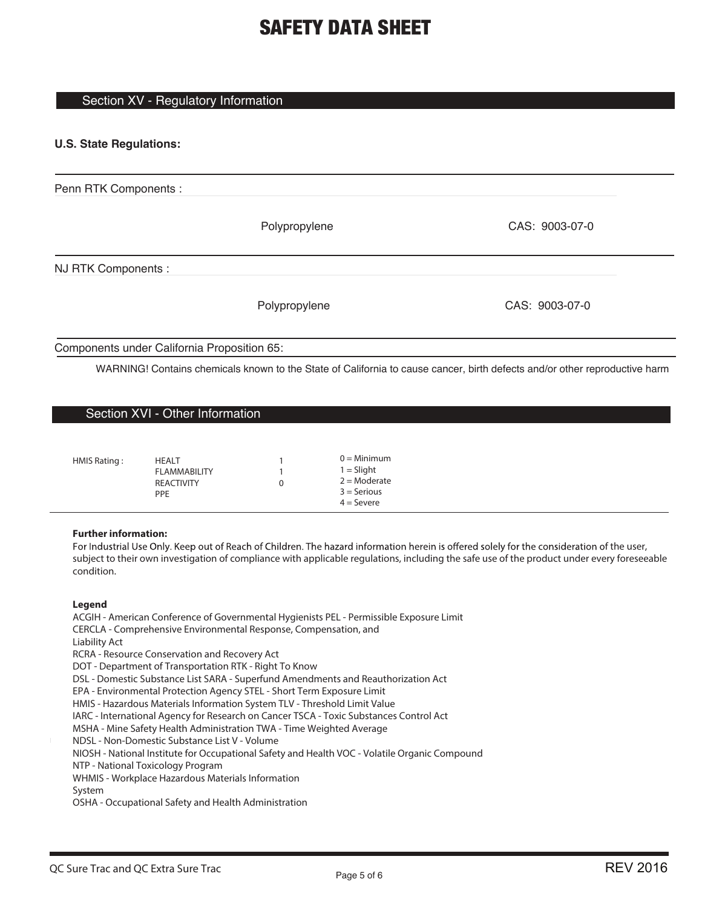### Section XV - Regulatory Information

### **U.S. State Regulations:**

| Penn RTK Components :                       |               |                |
|---------------------------------------------|---------------|----------------|
|                                             | Polypropylene | CAS: 9003-07-0 |
| NJ RTK Components :                         |               |                |
|                                             | Polypropylene | CAS: 9003-07-0 |
| Components under California Proposition 65: |               |                |

WARNING! Contains chemicals known to the State of California to cause cancer, birth defects and/or other reproductive harm

### Section XVI - Other Information

| HMIS Rating:<br>HEALT<br><b>FLAMMABILITY</b><br><b>REACTIVITY</b><br><b>PPF</b> | 0 | $0 =$ Minimum<br>$1 =$ Slight<br>$2 =$ Moderate<br>$3 =$ Serious<br>$4 =$ Severe |
|---------------------------------------------------------------------------------|---|----------------------------------------------------------------------------------|
|---------------------------------------------------------------------------------|---|----------------------------------------------------------------------------------|

#### **Further information:**

For Industrial Use Only. Keep out of Reach of Children. The hazard information herein is offered solely for the consideration of the user, subject to their own investigation of compliance with applicable regulations, including the safe use of the product under every foreseeable condition.

#### **Legend**

ACGIH - American Conference of Governmental Hygienists PEL - Permissible Exposure Limit CERCLA - Comprehensive Environmental Response, Compensation, and Liability Act RCRA - Resource Conservation and Recovery Act DOT - Department of Transportation RTK - Right To Know DSL - Domestic Substance List SARA - Superfund Amendments and Reauthorization Act EPA - Environmental Protection Agency STEL - Short Term Exposure Limit HMIS - Hazardous Materials Information System TLV - Threshold Limit Value IARC - International Agency for Research on Cancer TSCA - Toxic Substances Control Act MSHA - Mine Safety Health Administration TWA - Time Weighted Average NDSL - Non-Domestic Substance List V - Volume NIOSH - National Institute for Occupational Safety and Health VOC - Volatile Organic Compound NTP - National Toxicology Program WHMIS - Workplace Hazardous Materials Information System OSHA - Occupational Safety and Health Administration